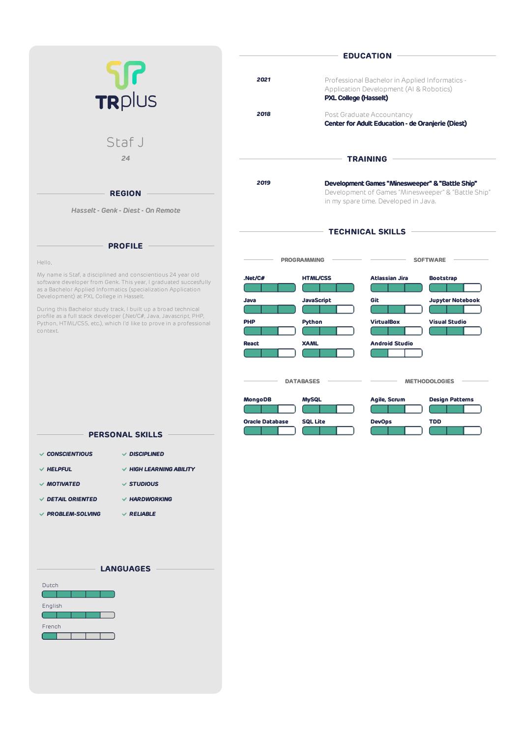|                                                                                                                                                                                                                                              | <b>EDUCATION</b>                                                                                                                  |                                                                                |                                                                                                                                               |
|----------------------------------------------------------------------------------------------------------------------------------------------------------------------------------------------------------------------------------------------|-----------------------------------------------------------------------------------------------------------------------------------|--------------------------------------------------------------------------------|-----------------------------------------------------------------------------------------------------------------------------------------------|
| <b>U</b><br>TRplus                                                                                                                                                                                                                           | 2021<br>Professional Bachelor in Applied Informatics -<br>Application Development (AI & Robotics)<br><b>PXL College (Hasselt)</b> |                                                                                |                                                                                                                                               |
|                                                                                                                                                                                                                                              | 2018                                                                                                                              | Post Graduate Accountancy<br>Center for Adult Education - de Oranjerie (Diest) |                                                                                                                                               |
| Staf J<br>24                                                                                                                                                                                                                                 | <b>TRAINING</b>                                                                                                                   |                                                                                |                                                                                                                                               |
| <b>REGION</b><br>Hasselt - Genk - Diest - On Remote                                                                                                                                                                                          | 2019                                                                                                                              |                                                                                | Development Games "Minesweeper" & "Battle Ship"<br>Development of Games "Minesweeper" & "Battle Ship"<br>in my spare time. Developed in Java. |
| <b>PROFILE</b>                                                                                                                                                                                                                               | <b>TECHNICAL SKILLS</b>                                                                                                           |                                                                                |                                                                                                                                               |
| Hello,                                                                                                                                                                                                                                       |                                                                                                                                   | <b>PROGRAMMING</b>                                                             | <b>SOFTWARE</b>                                                                                                                               |
| My name is Staf, a disciplined and conscientious 24 year old<br>software developer from Genk. This year, I graduated succesfully<br>as a Bachelor Applied Informatics (specialization Application<br>Development) at PXL College in Hasselt. | .Net/C#<br>Java                                                                                                                   | <b>HTML/CSS</b><br>JavaScript                                                  | <b>Atlassian Jira</b><br><b>Bootstrap</b><br>Git<br><b>Jupyter Notebook</b>                                                                   |
| During this Bachelor study track, I built up a broad technical<br>profile as a full stack developer (.Net/C#, Java, Javascript, PHP,<br>Python, HTML/CSS, etc.), which I'd like to prove in a professional<br>context.                       | <b>PHP</b>                                                                                                                        | Python                                                                         | <b>VirtualBox</b><br><b>Visual Studio</b>                                                                                                     |
|                                                                                                                                                                                                                                              | <b>React</b>                                                                                                                      | <b>XAML</b>                                                                    | <b>Android Studio</b>                                                                                                                         |
|                                                                                                                                                                                                                                              | <b>METHODOLOGIES</b><br><b>DATABASES</b>                                                                                          |                                                                                |                                                                                                                                               |
|                                                                                                                                                                                                                                              | MongoDB                                                                                                                           | <b>MySQL</b>                                                                   | Agile, Scrum<br><b>Design Patterns</b>                                                                                                        |
| <b>PERSONAL SKILLS</b>                                                                                                                                                                                                                       | <b>Oracle Database</b>                                                                                                            | <b>SQL Lite</b>                                                                | <b>DevOps</b><br><b>TDD</b>                                                                                                                   |
| $\vee$ CONSCIENTIOUS<br>$\vee$ disciplined                                                                                                                                                                                                   |                                                                                                                                   |                                                                                |                                                                                                                                               |
| $\vee$ HELPFUL<br>$\vee$ HIGH LEARNING ABILITY                                                                                                                                                                                               |                                                                                                                                   |                                                                                |                                                                                                                                               |
| $\checkmark$ STUDIOUS<br>$\vee$ MOTIVATED                                                                                                                                                                                                    |                                                                                                                                   |                                                                                |                                                                                                                                               |

- *DETAIL ORIENTED HARDWORKING*
- *PROBLEM-SOLVING RELIABLE*